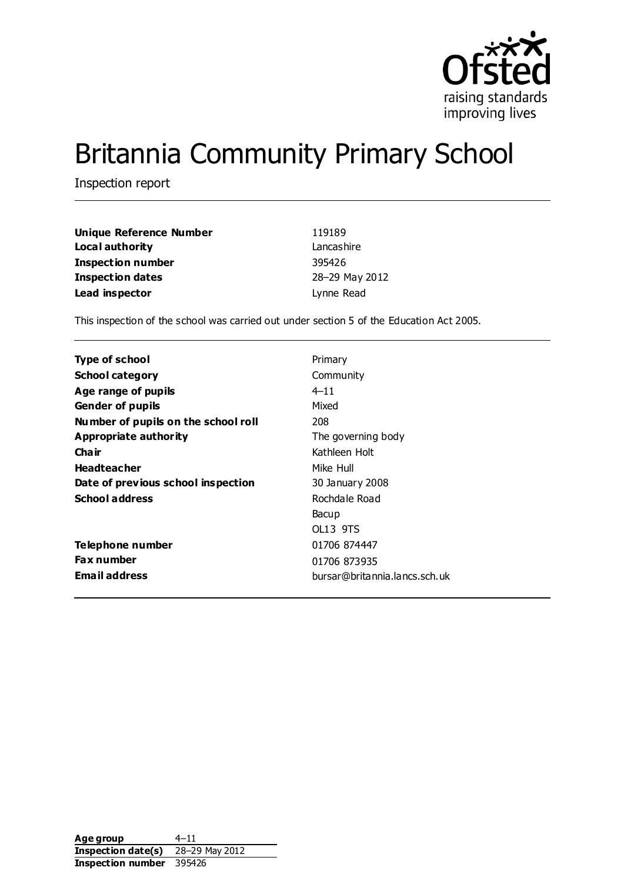

# Britannia Community Primary School

Inspection report

| Unique Reference Number  | 119189         |
|--------------------------|----------------|
| Local authority          | Lancashire     |
| <b>Inspection number</b> | 395426         |
| <b>Inspection dates</b>  | 28-29 May 2012 |
| Lead inspector           | Lynne Read     |

This inspection of the school was carried out under section 5 of the Education Act 2005.

| Type of school                      | Primary                       |
|-------------------------------------|-------------------------------|
| <b>School category</b>              | Community                     |
| Age range of pupils                 | $4 - 11$                      |
| <b>Gender of pupils</b>             | Mixed                         |
| Number of pupils on the school roll | 208                           |
| Appropriate authority               | The governing body            |
| Cha ir                              | Kathleen Holt                 |
| <b>Headteacher</b>                  | Mike Hull                     |
| Date of previous school inspection  | 30 January 2008               |
| <b>School address</b>               | Rochdale Road                 |
|                                     | Bacup                         |
|                                     | OL13 9TS                      |
| Telephone number                    | 01706 874447                  |
| <b>Fax number</b>                   | 01706 873935                  |
| <b>Email address</b>                | bursar@britannia.lancs.sch.uk |

Age group 4–11 **Inspection date(s)** 28–29 May 2012 **Inspection number** 395426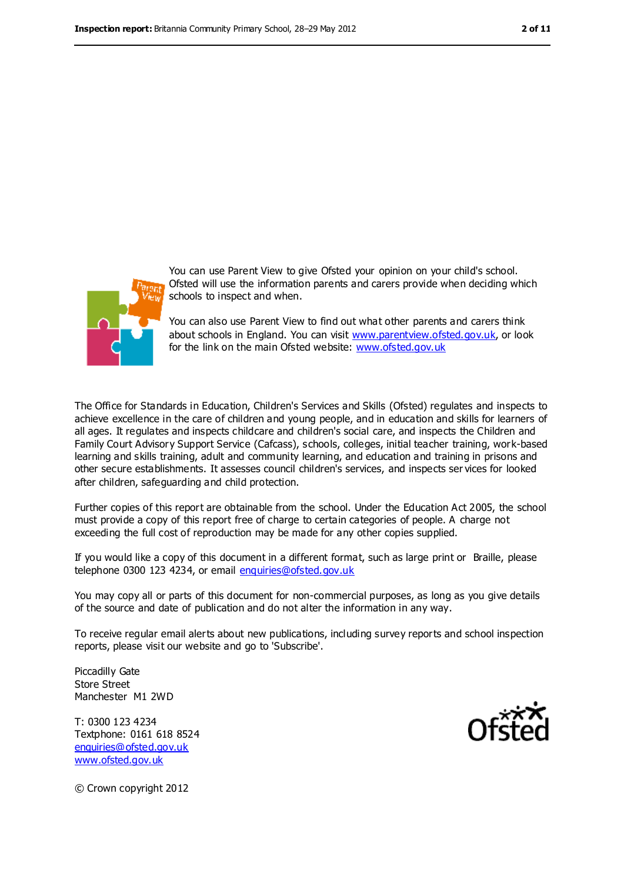

You can use Parent View to give Ofsted your opinion on your child's school. Ofsted will use the information parents and carers provide when deciding which schools to inspect and when.

You can also use Parent View to find out what other parents and carers think about schools in England. You can visit [www.parentview.ofsted.gov.uk,](file:///C:/Users/rcowley/rcowley/AppData/Local/Microsoft/Windows/Temporary%20Internet%20Files/Low/Content.IE5/CSSWXC28/www.parentview.ofsted.gov.uk) or look for the link on the main Ofsted website: [www.ofsted.gov.uk](file:///C:/Users/rcowley/rcowley/AppData/Local/Microsoft/Windows/Temporary%20Internet%20Files/Low/Content.IE5/CSSWXC28/www.ofsted.gov.uk)

The Office for Standards in Education, Children's Services and Skills (Ofsted) regulates and inspects to achieve excellence in the care of children and young people, and in education and skills for learners of all ages. It regulates and inspects childcare and children's social care, and inspects the Children and Family Court Advisory Support Service (Cafcass), schools, colleges, initial teacher training, work-based learning and skills training, adult and community learning, and education and training in prisons and other secure establishments. It assesses council children's services, and inspects ser vices for looked after children, safeguarding and child protection.

Further copies of this report are obtainable from the school. Under the Education Act 2005, the school must provide a copy of this report free of charge to certain categories of people. A charge not exceeding the full cost of reproduction may be made for any other copies supplied.

If you would like a copy of this document in a different format, such as large print or Braille, please telephone 0300 123 4234, or email [enquiries@ofsted.gov.uk](mailto:enquiries@ofsted.gov.uk)

You may copy all or parts of this document for non-commercial purposes, as long as you give details of the source and date of publication and do not alter the information in any way.

To receive regular email alerts about new publications, including survey reports and school inspection reports, please visit our website and go to 'Subscribe'.

Piccadilly Gate Store Street Manchester M1 2WD

T: 0300 123 4234 Textphone: 0161 618 8524 [enquiries@ofsted.gov.uk](mailto:enquiries@ofsted.gov.uk) [www.ofsted.gov.uk](http://www.ofsted.gov.uk/)



© Crown copyright 2012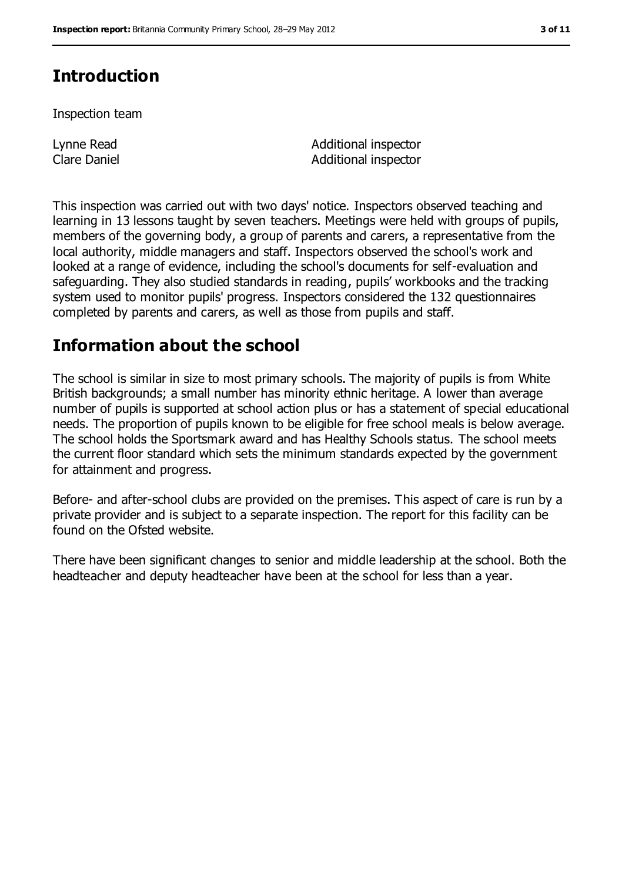# **Introduction**

Inspection team

Lynne Read Clare Daniel Additional inspector Additional inspector

This inspection was carried out with two days' notice. Inspectors observed teaching and learning in 13 lessons taught by seven teachers. Meetings were held with groups of pupils, members of the governing body, a group of parents and carers, a representative from the local authority, middle managers and staff. Inspectors observed the school's work and looked at a range of evidence, including the school's documents for self-evaluation and safeguarding. They also studied standards in reading, pupils' workbooks and the tracking system used to monitor pupils' progress. Inspectors considered the 132 questionnaires completed by parents and carers, as well as those from pupils and staff.

## **Information about the school**

The school is similar in size to most primary schools. The majority of pupils is from White British backgrounds; a small number has minority ethnic heritage. A lower than average number of pupils is supported at school action plus or has a statement of special educational needs. The proportion of pupils known to be eligible for free school meals is below average. The school holds the Sportsmark award and has Healthy Schools status. The school meets the current floor standard which sets the minimum standards expected by the government for attainment and progress.

Before- and after-school clubs are provided on the premises. This aspect of care is run by a private provider and is subject to a separate inspection. The report for this facility can be found on the Ofsted website.

There have been significant changes to senior and middle leadership at the school. Both the headteacher and deputy headteacher have been at the school for less than a year.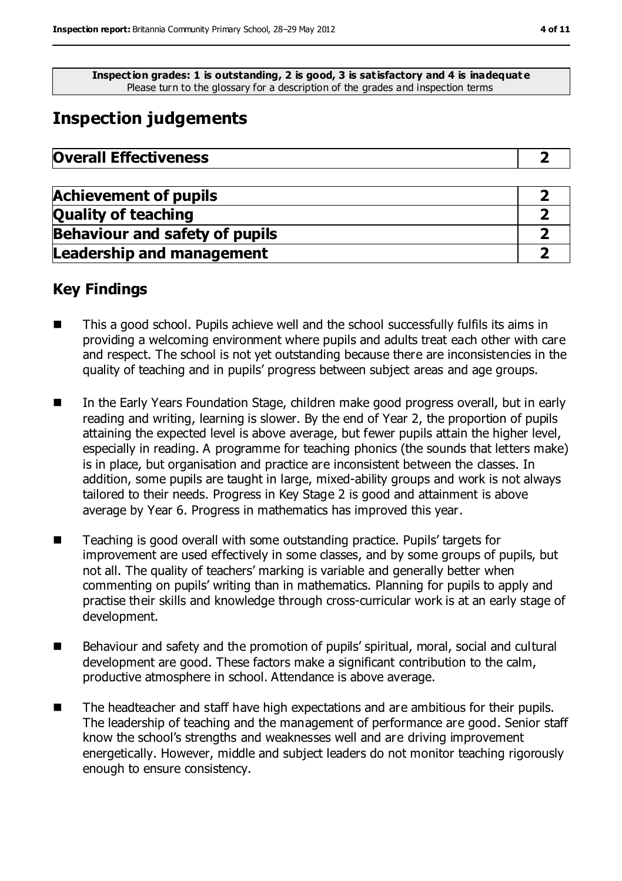**Inspection grades: 1 is outstanding, 2 is good, 3 is satisfactory and 4 is inadequat e** Please turn to the glossary for a description of the grades and inspection terms

# **Inspection judgements**

| <b>Overall Effectiveness</b> |  |
|------------------------------|--|
|------------------------------|--|

| <b>Achievement of pupils</b>          |  |
|---------------------------------------|--|
| <b>Quality of teaching</b>            |  |
| <b>Behaviour and safety of pupils</b> |  |
| <b>Leadership and management</b>      |  |

## **Key Findings**

- This a good school. Pupils achieve well and the school successfully fulfils its aims in providing a welcoming environment where pupils and adults treat each other with care and respect. The school is not yet outstanding because there are inconsistencies in the quality of teaching and in pupils' progress between subject areas and age groups.
- In the Early Years Foundation Stage, children make good progress overall, but in early reading and writing, learning is slower. By the end of Year 2, the proportion of pupils attaining the expected level is above average, but fewer pupils attain the higher level, especially in reading. A programme for teaching phonics (the sounds that letters make) is in place, but organisation and practice are inconsistent between the classes. In addition, some pupils are taught in large, mixed-ability groups and work is not always tailored to their needs. Progress in Key Stage 2 is good and attainment is above average by Year 6. Progress in mathematics has improved this year.
- Teaching is good overall with some outstanding practice. Pupils' targets for improvement are used effectively in some classes, and by some groups of pupils, but not all. The quality of teachers' marking is variable and generally better when commenting on pupils' writing than in mathematics. Planning for pupils to apply and practise their skills and knowledge through cross-curricular work is at an early stage of development.
- Behaviour and safety and the promotion of pupils' spiritual, moral, social and cultural development are good. These factors make a significant contribution to the calm, productive atmosphere in school. Attendance is above average.
- The headteacher and staff have high expectations and are ambitious for their pupils. The leadership of teaching and the management of performance are good. Senior staff know the school's strengths and weaknesses well and are driving improvement energetically. However, middle and subject leaders do not monitor teaching rigorously enough to ensure consistency.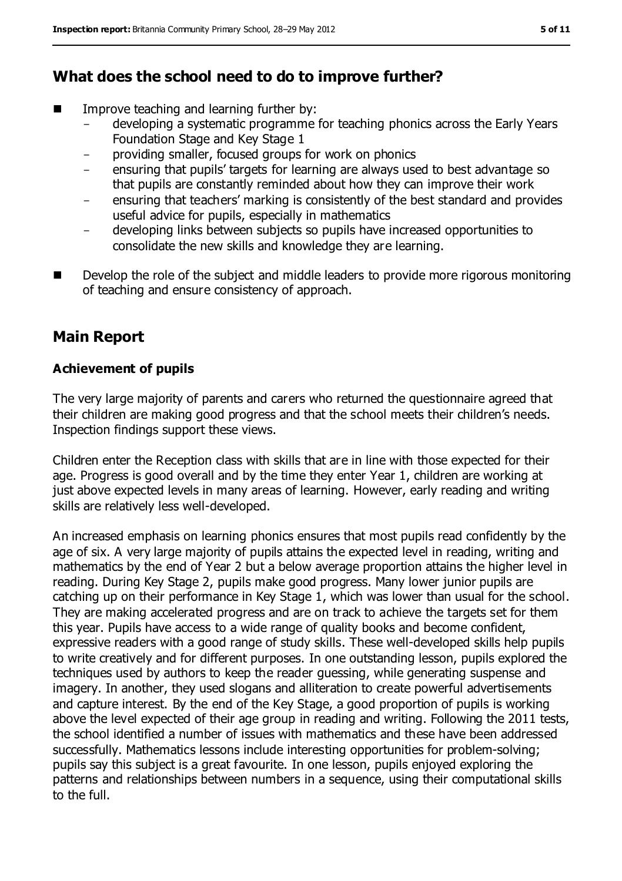## **What does the school need to do to improve further?**

- Improve teaching and learning further by:
	- developing a systematic programme for teaching phonics across the Early Years Foundation Stage and Key Stage 1
	- providing smaller, focused groups for work on phonics
	- ensuring that pupils' targets for learning are always used to best advantage so that pupils are constantly reminded about how they can improve their work
	- ensuring that teachers' marking is consistently of the best standard and provides useful advice for pupils, especially in mathematics
	- developing links between subjects so pupils have increased opportunities to consolidate the new skills and knowledge they are learning.
- Develop the role of the subject and middle leaders to provide more rigorous monitoring of teaching and ensure consistency of approach.

## **Main Report**

#### **Achievement of pupils**

The very large majority of parents and carers who returned the questionnaire agreed that their children are making good progress and that the school meets their children's needs. Inspection findings support these views.

Children enter the Reception class with skills that are in line with those expected for their age. Progress is good overall and by the time they enter Year 1, children are working at just above expected levels in many areas of learning. However, early reading and writing skills are relatively less well-developed.

An increased emphasis on learning phonics ensures that most pupils read confidently by the age of six. A very large majority of pupils attains the expected level in reading, writing and mathematics by the end of Year 2 but a below average proportion attains the higher level in reading. During Key Stage 2, pupils make good progress. Many lower junior pupils are catching up on their performance in Key Stage 1, which was lower than usual for the school. They are making accelerated progress and are on track to achieve the targets set for them this year. Pupils have access to a wide range of quality books and become confident, expressive readers with a good range of study skills. These well-developed skills help pupils to write creatively and for different purposes. In one outstanding lesson, pupils explored the techniques used by authors to keep the reader guessing, while generating suspense and imagery. In another, they used slogans and alliteration to create powerful advertisements and capture interest. By the end of the Key Stage, a good proportion of pupils is working above the level expected of their age group in reading and writing. Following the 2011 tests, the school identified a number of issues with mathematics and these have been addressed successfully. Mathematics lessons include interesting opportunities for problem-solving; pupils say this subject is a great favourite. In one lesson, pupils enjoyed exploring the patterns and relationships between numbers in a sequence, using their computational skills to the full.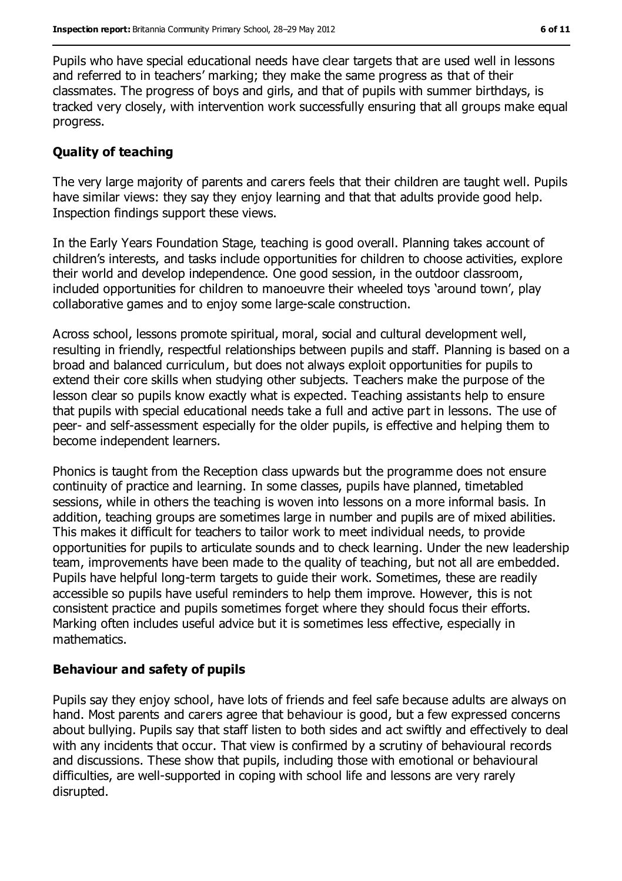Pupils who have special educational needs have clear targets that are used well in lessons and referred to in teachers' marking; they make the same progress as that of their classmates. The progress of boys and girls, and that of pupils with summer birthdays, is tracked very closely, with intervention work successfully ensuring that all groups make equal progress.

#### **Quality of teaching**

The very large majority of parents and carers feels that their children are taught well. Pupils have similar views: they say they enjoy learning and that that adults provide good help. Inspection findings support these views.

In the Early Years Foundation Stage, teaching is good overall. Planning takes account of children's interests, and tasks include opportunities for children to choose activities, explore their world and develop independence. One good session, in the outdoor classroom, included opportunities for children to manoeuvre their wheeled toys 'around town', play collaborative games and to enjoy some large-scale construction.

Across school, lessons promote spiritual, moral, social and cultural development well, resulting in friendly, respectful relationships between pupils and staff. Planning is based on a broad and balanced curriculum, but does not always exploit opportunities for pupils to extend their core skills when studying other subjects. Teachers make the purpose of the lesson clear so pupils know exactly what is expected. Teaching assistants help to ensure that pupils with special educational needs take a full and active part in lessons. The use of peer- and self-assessment especially for the older pupils, is effective and helping them to become independent learners.

Phonics is taught from the Reception class upwards but the programme does not ensure continuity of practice and learning. In some classes, pupils have planned, timetabled sessions, while in others the teaching is woven into lessons on a more informal basis. In addition, teaching groups are sometimes large in number and pupils are of mixed abilities. This makes it difficult for teachers to tailor work to meet individual needs, to provide opportunities for pupils to articulate sounds and to check learning. Under the new leadership team, improvements have been made to the quality of teaching, but not all are embedded. Pupils have helpful long-term targets to guide their work. Sometimes, these are readily accessible so pupils have useful reminders to help them improve. However, this is not consistent practice and pupils sometimes forget where they should focus their efforts. Marking often includes useful advice but it is sometimes less effective, especially in mathematics.

#### **Behaviour and safety of pupils**

Pupils say they enjoy school, have lots of friends and feel safe because adults are always on hand. Most parents and carers agree that behaviour is good, but a few expressed concerns about bullying. Pupils say that staff listen to both sides and act swiftly and effectively to deal with any incidents that occur. That view is confirmed by a scrutiny of behavioural records and discussions. These show that pupils, including those with emotional or behavioural difficulties, are well-supported in coping with school life and lessons are very rarely disrupted.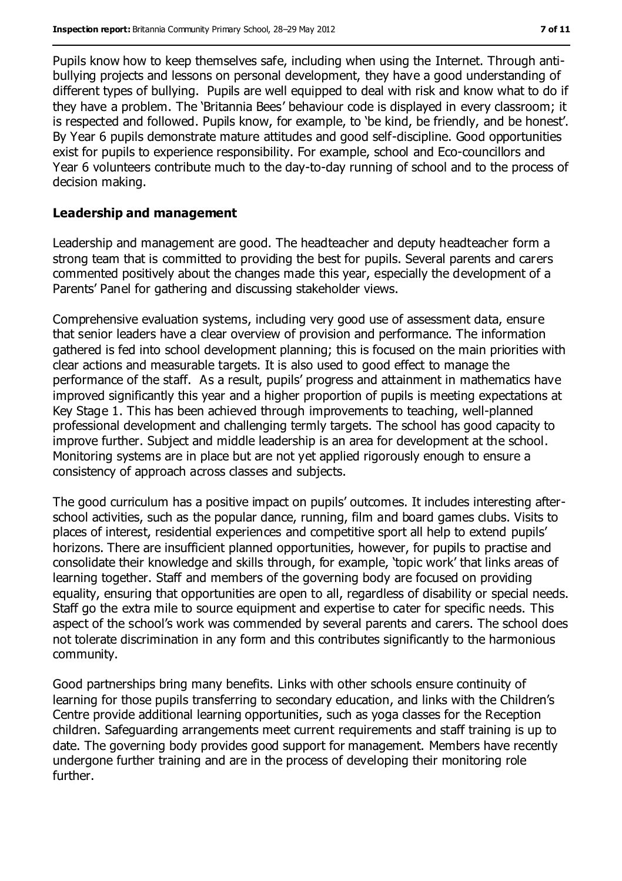Pupils know how to keep themselves safe, including when using the Internet. Through antibullying projects and lessons on personal development, they have a good understanding of different types of bullying. Pupils are well equipped to deal with risk and know what to do if they have a problem. The 'Britannia Bees' behaviour code is displayed in every classroom; it is respected and followed. Pupils know, for example, to 'be kind, be friendly, and be honest'. By Year 6 pupils demonstrate mature attitudes and good self-discipline. Good opportunities exist for pupils to experience responsibility. For example, school and Eco-councillors and Year 6 volunteers contribute much to the day-to-day running of school and to the process of decision making.

#### **Leadership and management**

Leadership and management are good. The headteacher and deputy headteacher form a strong team that is committed to providing the best for pupils. Several parents and carers commented positively about the changes made this year, especially the development of a Parents' Panel for gathering and discussing stakeholder views.

Comprehensive evaluation systems, including very good use of assessment data, ensure that senior leaders have a clear overview of provision and performance. The information gathered is fed into school development planning; this is focused on the main priorities with clear actions and measurable targets. It is also used to good effect to manage the performance of the staff. As a result, pupils' progress and attainment in mathematics have improved significantly this year and a higher proportion of pupils is meeting expectations at Key Stage 1. This has been achieved through improvements to teaching, well-planned professional development and challenging termly targets. The school has good capacity to improve further. Subject and middle leadership is an area for development at the school. Monitoring systems are in place but are not yet applied rigorously enough to ensure a consistency of approach across classes and subjects.

The good curriculum has a positive impact on pupils' outcomes. It includes interesting afterschool activities, such as the popular dance, running, film and board games clubs. Visits to places of interest, residential experiences and competitive sport all help to extend pupils' horizons. There are insufficient planned opportunities, however, for pupils to practise and consolidate their knowledge and skills through, for example, 'topic work' that links areas of learning together. Staff and members of the governing body are focused on providing equality, ensuring that opportunities are open to all, regardless of disability or special needs. Staff go the extra mile to source equipment and expertise to cater for specific needs. This aspect of the school's work was commended by several parents and carers. The school does not tolerate discrimination in any form and this contributes significantly to the harmonious community.

Good partnerships bring many benefits. Links with other schools ensure continuity of learning for those pupils transferring to secondary education, and links with the Children's Centre provide additional learning opportunities, such as yoga classes for the Reception children. Safeguarding arrangements meet current requirements and staff training is up to date. The governing body provides good support for management. Members have recently undergone further training and are in the process of developing their monitoring role further.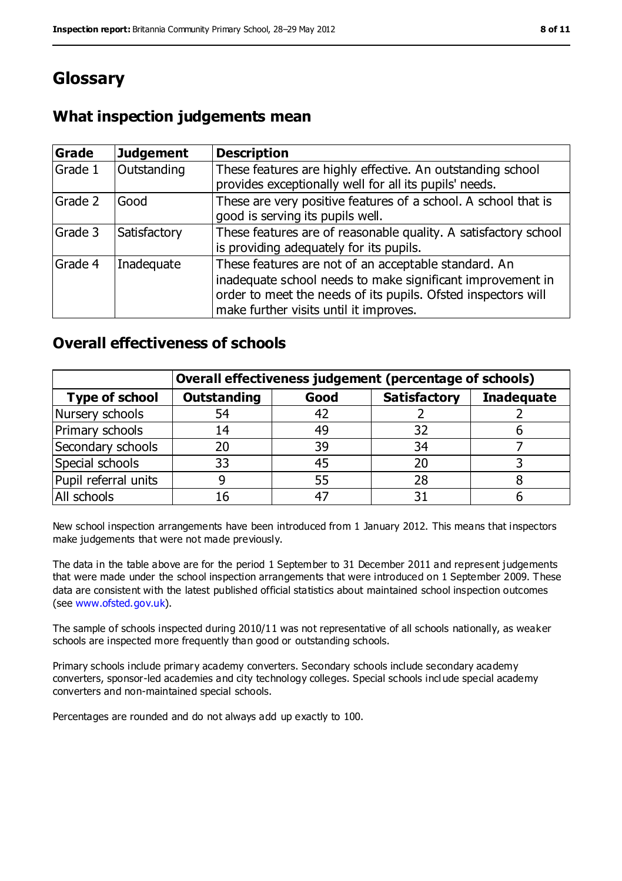# **Glossary**

## **What inspection judgements mean**

| <b>Grade</b> | <b>Judgement</b> | <b>Description</b>                                                                                                                                                                                                            |
|--------------|------------------|-------------------------------------------------------------------------------------------------------------------------------------------------------------------------------------------------------------------------------|
| Grade 1      | Outstanding      | These features are highly effective. An outstanding school<br>provides exceptionally well for all its pupils' needs.                                                                                                          |
| Grade 2      | Good             | These are very positive features of a school. A school that is<br>good is serving its pupils well.                                                                                                                            |
| Grade 3      | Satisfactory     | These features are of reasonable quality. A satisfactory school<br>is providing adequately for its pupils.                                                                                                                    |
| Grade 4      | Inadequate       | These features are not of an acceptable standard. An<br>inadequate school needs to make significant improvement in<br>order to meet the needs of its pupils. Ofsted inspectors will<br>make further visits until it improves. |

## **Overall effectiveness of schools**

|                       | Overall effectiveness judgement (percentage of schools) |      |                     |                   |
|-----------------------|---------------------------------------------------------|------|---------------------|-------------------|
| <b>Type of school</b> | <b>Outstanding</b>                                      | Good | <b>Satisfactory</b> | <b>Inadequate</b> |
| Nursery schools       | 54                                                      | 42   |                     |                   |
| Primary schools       | 14                                                      | 49   | 32                  |                   |
| Secondary schools     | 20                                                      | 39   | 34                  |                   |
| Special schools       | 33                                                      | 45   | 20                  |                   |
| Pupil referral units  |                                                         | 55   | 28                  |                   |
| All schools           | 16                                                      | $-4$ |                     |                   |

New school inspection arrangements have been introduced from 1 January 2012. This means that inspectors make judgements that were not made previously.

The data in the table above are for the period 1 September to 31 December 2011 and represent judgements that were made under the school inspection arrangements that were introduced on 1 September 2009. These data are consistent with the latest published official statistics about maintained school inspection outcomes (see [www.ofsted.gov.uk\)](file:///C:/Users/rcowley/rcowley/AppData/Local/Microsoft/Windows/Temporary%20Internet%20Files/Low/Content.IE5/CSSWXC28/www.ofsted.gov.uk).

The sample of schools inspected during 2010/11 was not representative of all schools nationally, as weaker schools are inspected more frequently than good or outstanding schools.

Primary schools include primary academy converters. Secondary schools include secondary academy converters, sponsor-led academies and city technology colleges. Special schools incl ude special academy converters and non-maintained special schools.

Percentages are rounded and do not always add up exactly to 100.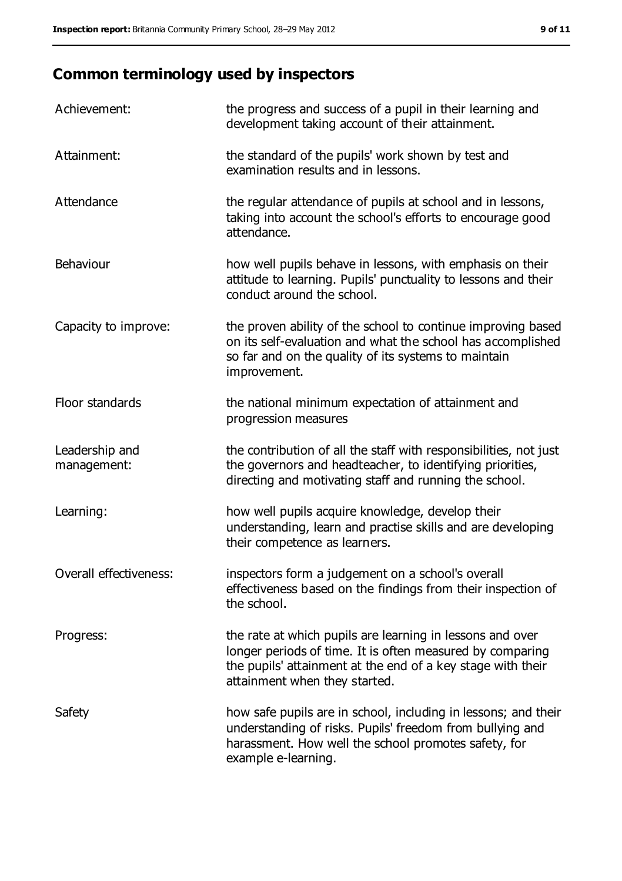# **Common terminology used by inspectors**

| Achievement:                  | the progress and success of a pupil in their learning and<br>development taking account of their attainment.                                                                                                           |
|-------------------------------|------------------------------------------------------------------------------------------------------------------------------------------------------------------------------------------------------------------------|
| Attainment:                   | the standard of the pupils' work shown by test and<br>examination results and in lessons.                                                                                                                              |
| Attendance                    | the regular attendance of pupils at school and in lessons,<br>taking into account the school's efforts to encourage good<br>attendance.                                                                                |
| Behaviour                     | how well pupils behave in lessons, with emphasis on their<br>attitude to learning. Pupils' punctuality to lessons and their<br>conduct around the school.                                                              |
| Capacity to improve:          | the proven ability of the school to continue improving based<br>on its self-evaluation and what the school has accomplished<br>so far and on the quality of its systems to maintain<br>improvement.                    |
| Floor standards               | the national minimum expectation of attainment and<br>progression measures                                                                                                                                             |
| Leadership and<br>management: | the contribution of all the staff with responsibilities, not just<br>the governors and headteacher, to identifying priorities,<br>directing and motivating staff and running the school.                               |
| Learning:                     | how well pupils acquire knowledge, develop their<br>understanding, learn and practise skills and are developing<br>their competence as learners.                                                                       |
| Overall effectiveness:        | inspectors form a judgement on a school's overall<br>effectiveness based on the findings from their inspection of<br>the school.                                                                                       |
| Progress:                     | the rate at which pupils are learning in lessons and over<br>longer periods of time. It is often measured by comparing<br>the pupils' attainment at the end of a key stage with their<br>attainment when they started. |
| Safety                        | how safe pupils are in school, including in lessons; and their<br>understanding of risks. Pupils' freedom from bullying and<br>harassment. How well the school promotes safety, for<br>example e-learning.             |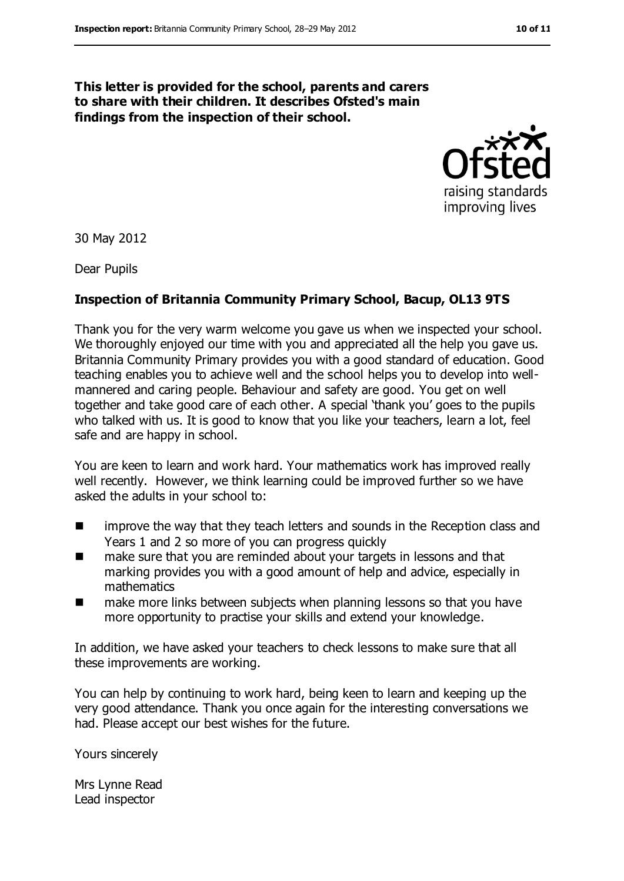#### **This letter is provided for the school, parents and carers to share with their children. It describes Ofsted's main findings from the inspection of their school.**



30 May 2012

Dear Pupils

#### **Inspection of Britannia Community Primary School, Bacup, OL13 9TS**

Thank you for the very warm welcome you gave us when we inspected your school. We thoroughly enjoyed our time with you and appreciated all the help you gave us. Britannia Community Primary provides you with a good standard of education. Good teaching enables you to achieve well and the school helps you to develop into wellmannered and caring people. Behaviour and safety are good. You get on well together and take good care of each other. A special 'thank you' goes to the pupils who talked with us. It is good to know that you like your teachers, learn a lot, feel safe and are happy in school.

You are keen to learn and work hard. Your mathematics work has improved really well recently. However, we think learning could be improved further so we have asked the adults in your school to:

- **IF** improve the way that they teach letters and sounds in the Reception class and Years 1 and 2 so more of you can progress quickly
- make sure that you are reminded about your targets in lessons and that marking provides you with a good amount of help and advice, especially in mathematics
- make more links between subjects when planning lessons so that you have more opportunity to practise your skills and extend your knowledge.

In addition, we have asked your teachers to check lessons to make sure that all these improvements are working.

You can help by continuing to work hard, being keen to learn and keeping up the very good attendance. Thank you once again for the interesting conversations we had. Please accept our best wishes for the future.

Yours sincerely

Mrs Lynne Read Lead inspector